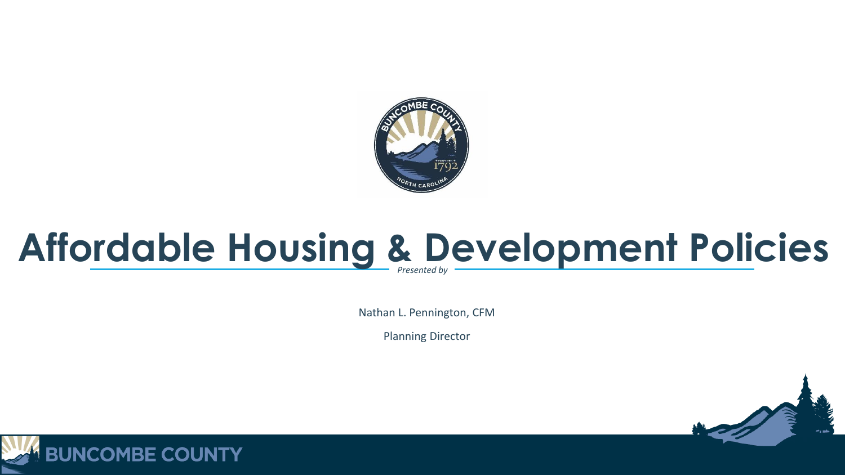

### **Affordable Housing & Development Policies**

Nathan L. Pennington, CFM

Planning Director



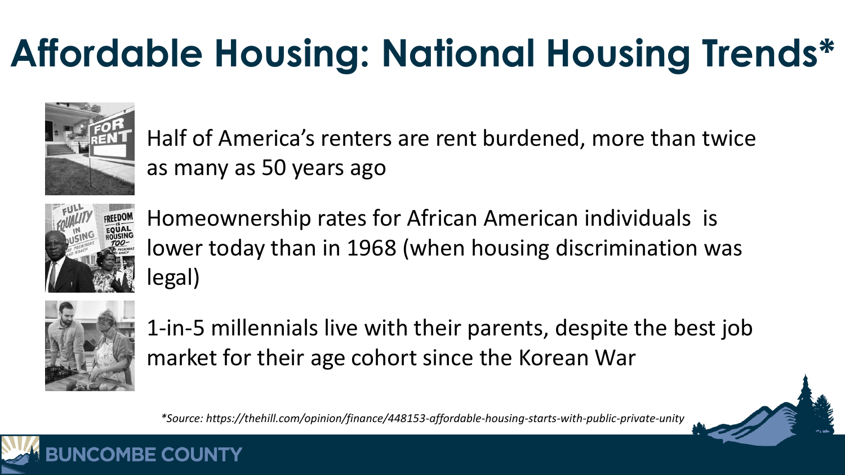### **Affordable Housing: National Housing Trends\***



 Half of America's renters are rent burdened, more than twice as many as 50 years ago



 Homeownership rates for African American individuals is lower today than in 1968 (when housing discrimination was legal)



 1-in-5 millennials live with their parents, despite the best job market for their age cohort since the Korean War

*\*Source: https://thehill.com/opinion/finance/448153-affordable-housing-starts-with-public-private-unity*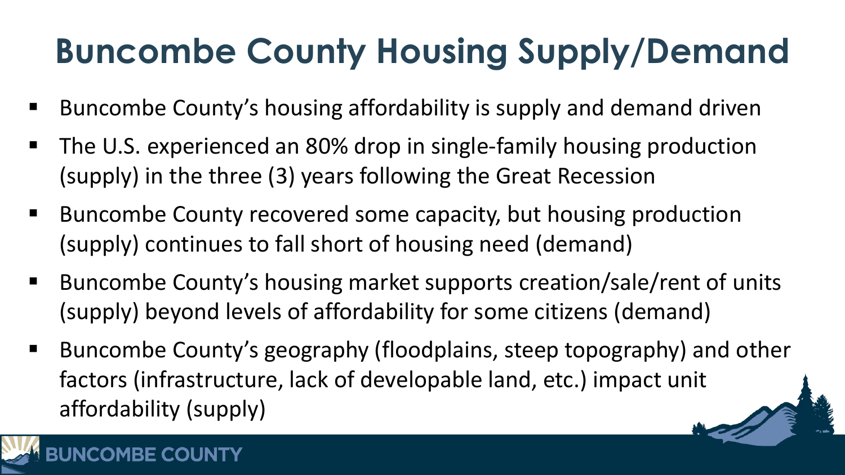#### **Buncombe County Housing Supply/Demand**

- Buncombe County's housing affordability is supply and demand driven
- The U.S. experienced an 80% drop in single-family housing production (supply) in the three (3) years following the Great Recession
- Buncombe County recovered some capacity, but housing production (supply) continues to fall short of housing need (demand)
- Buncombe County's housing market supports creation/sale/rent of units (supply) beyond levels of affordability for some citizens (demand)
- Buncombe County's geography (floodplains, steep topography) and other factors (infrastructure, lack of developable land, etc.) impact unit affordability (supply)

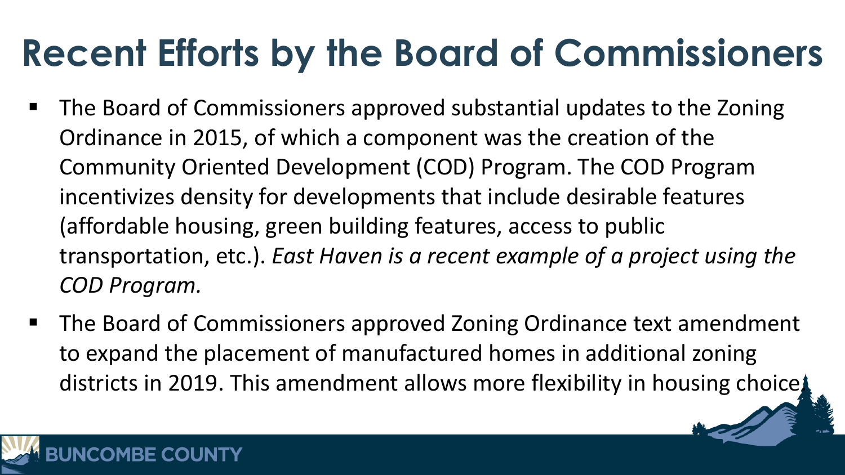#### **Recent Efforts by the Board of Commissioners**

- The Board of Commissioners approved substantial updates to the Zoning Ordinance in 2015, of which a component was the creation of the Community Oriented Development (COD) Program. The COD Program incentivizes density for developments that include desirable features (affordable housing, green building features, access to public transportation, etc.). *East Haven is a recent example of a project using the COD Program.*
- The Board of Commissioners approved Zoning Ordinance text amendment to expand the placement of manufactured homes in additional zoning districts in 2019. This amendment allows more flexibility in housing choice.

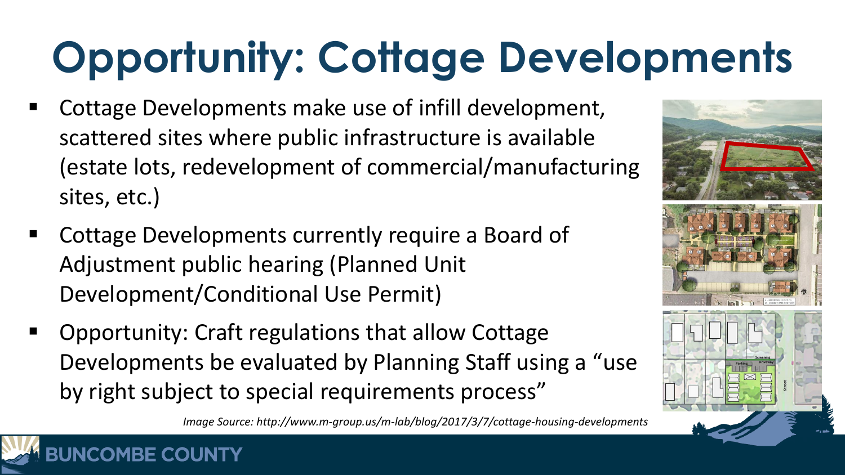## **Opportunity: Cottage Developments**

- Cottage Developments make use of infill development, scattered sites where public infrastructure is available (estate lots, redevelopment of commercial/manufacturing sites, etc.)
- Cottage Developments currently require a Board of Adjustment public hearing (Planned Unit Development/Conditional Use Permit)

**BE COUNTY** 

 Opportunity: Craft regulations that allow Cottage Developments be evaluated by Planning Staff using a "use by right subject to special requirements process"

*Image Source: http://www.m-group.us/m-lab/blog/2017/3/7/cottage-housing-developments*

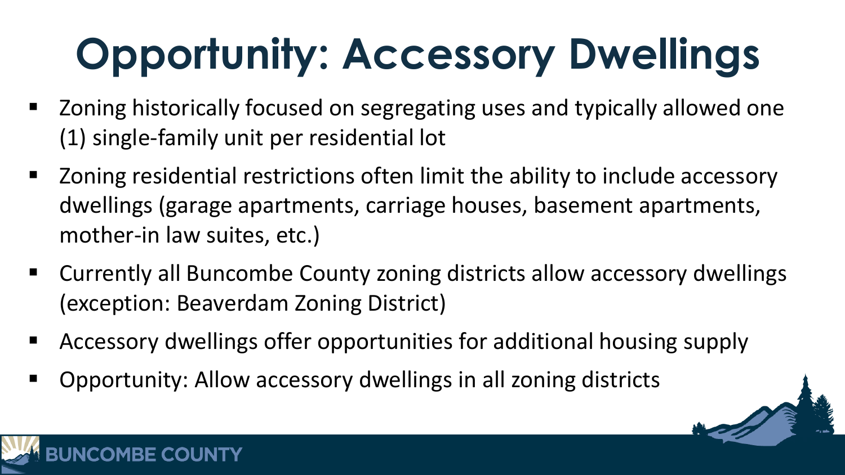# **Opportunity: Accessory Dwellings**

- Zoning historically focused on segregating uses and typically allowed one (1) single-family unit per residential lot
- Zoning residential restrictions often limit the ability to include accessory dwellings (garage apartments, carriage houses, basement apartments, mother-in law suites, etc.)
- Currently all Buncombe County zoning districts allow accessory dwellings (exception: Beaverdam Zoning District)
- Accessory dwellings offer opportunities for additional housing supply
- Opportunity: Allow accessory dwellings in all zoning districts

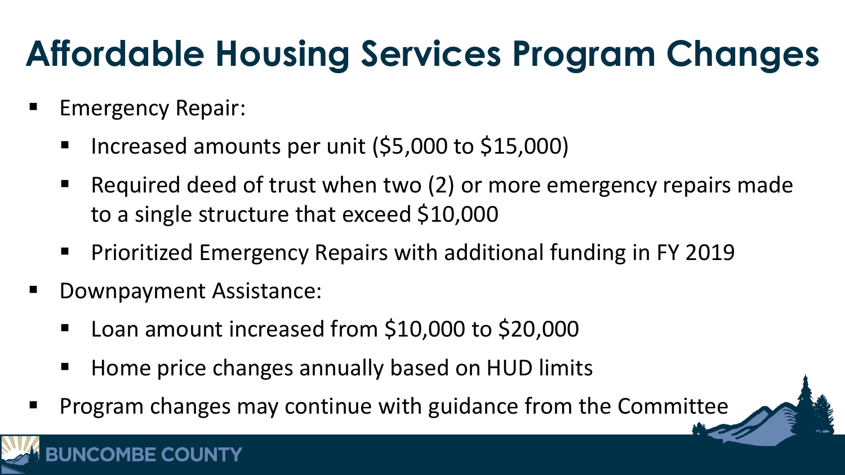#### **Affordable Housing Services Program Changes**

- Emergency Repair:
	- Increased amounts per unit (\$5,000 to \$15,000)
	- Required deed of trust when two (2) or more emergency repairs made to a single structure that exceed \$10,000
	- Prioritized Emergency Repairs with additional funding in FY 2019
- Downpayment Assistance:
	- Loan amount increased from \$10,000 to \$20,000
	- Home price changes annually based on HUD limits
- Program changes may continue with guidance from the Committee